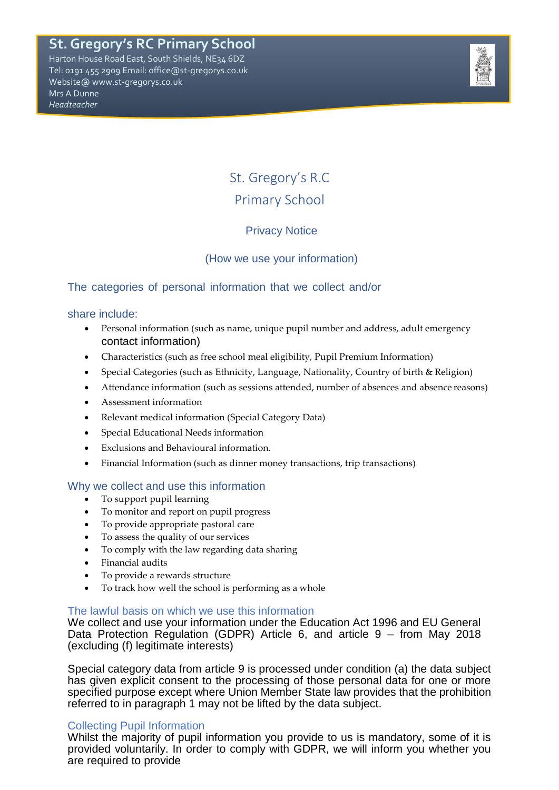## **St. Gregory's RC Primary School**

Harton House Road East, South Shields, NE34 6DZ Tel: 0191 455 2909 Email: office@st-gregorys.co.uk Website@ www.st-gregorys.co.uk Mrs A Dunne *Headteacher*



# St. Gregory's R.C Primary School

## Privacy Notice

## (How we use your information)

## The categories of personal information that we collect and/or

#### share include:

- Personal information (such as name, unique pupil number and address, adult emergency contact information)
- Characteristics (such as free school meal eligibility, Pupil Premium Information)
- Special Categories (such as Ethnicity, Language, Nationality, Country of birth & Religion)
- Attendance information (such as sessions attended, number of absences and absence reasons)
- Assessment information
- Relevant medical information (Special Category Data)
- Special Educational Needs information
- Exclusions and Behavioural information.
- Financial Information (such as dinner money transactions, trip transactions)

#### Why we collect and use this information

- To support pupil learning
- To monitor and report on pupil progress
- To provide appropriate pastoral care
- To assess the quality of our services
- To comply with the law regarding data sharing
- Financial audits
- To provide a rewards structure
- To track how well the school is performing as a whole

#### The lawful basis on which we use this information

We collect and use your information under the Education Act 1996 and EU General Data Protection Regulation (GDPR) Article 6, and article 9 – from May 2018 (excluding (f) legitimate interests)

Special category data from article 9 is processed under condition (a) the data subject has given explicit consent to the processing of those personal data for one or more specified purpose except where Union Member State law provides that the prohibition referred to in paragraph 1 may not be lifted by the data subject.

#### Collecting Pupil Information

Whilst the majority of pupil information you provide to us is mandatory, some of it is provided voluntarily. In order to comply with GDPR, we will inform you whether you are required to provide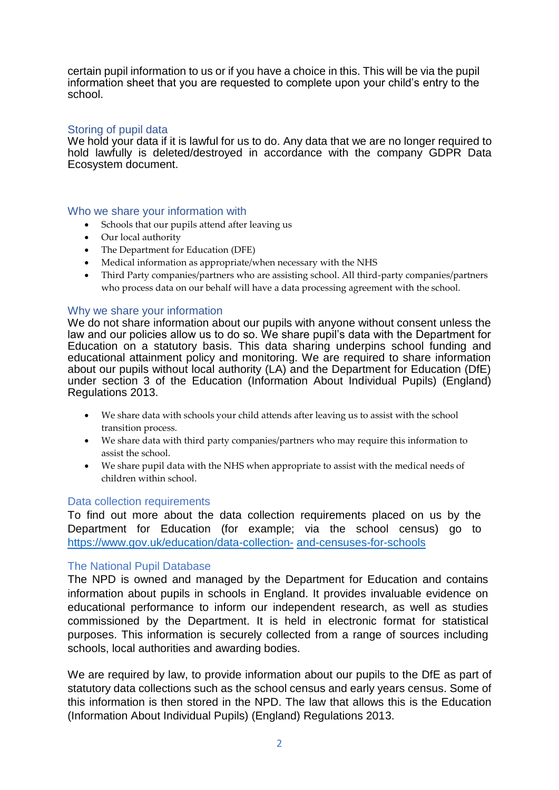certain pupil information to us or if you have a choice in this. This will be via the pupil information sheet that you are requested to complete upon your child's entry to the school.

#### Storing of pupil data

We hold your data if it is lawful for us to do. Any data that we are no longer required to hold lawfully is deleted/destroyed in accordance with the company GDPR Data Ecosystem document.

#### Who we share your information with

- Schools that our pupils attend after leaving us
- Our local authority
- The Department for Education (DFE)
- Medical information as appropriate/when necessary with the NHS
- Third Party companies/partners who are assisting school. All third-party companies/partners who process data on our behalf will have a data processing agreement with the school.

#### Why we share your information

We do not share information about our pupils with anyone without consent unless the law and our policies allow us to do so. We share pupil's data with the Department for Education on a statutory basis. This data sharing underpins school funding and educational attainment policy and monitoring. We are required to share information about our pupils without local authority (LA) and the Department for Education (DfE) under section 3 of the Education (Information About Individual Pupils) (England) Regulations 2013.

- We share data with schools your child attends after leaving us to assist with the school transition process.
- We share data with third party companies/partners who may require this information to assist the school.
- We share pupil data with the NHS when appropriate to assist with the medical needs of children within school.

#### Data collection requirements

To find out more about the data collection requirements placed on us by the Department for Education (for example; via the school census) go to [https://www.gov.uk/education/data-collection-](https://www.gov.uk/education/data-collection-and-censuses-for-schools) [and-censuses-for-schools](https://www.gov.uk/education/data-collection-and-censuses-for-schools)

#### The National Pupil Database

The NPD is owned and managed by the Department for Education and contains information about pupils in schools in England. It provides invaluable evidence on educational performance to inform our independent research, as well as studies commissioned by the Department. It is held in electronic format for statistical purposes. This information is securely collected from a range of sources including schools, local authorities and awarding bodies.

We are required by law, to provide information about our pupils to the DfE as part of statutory data collections such as the school census and early years census. Some of this information is then stored in the NPD. The law that allows this is the Education (Information About Individual Pupils) (England) Regulations 2013.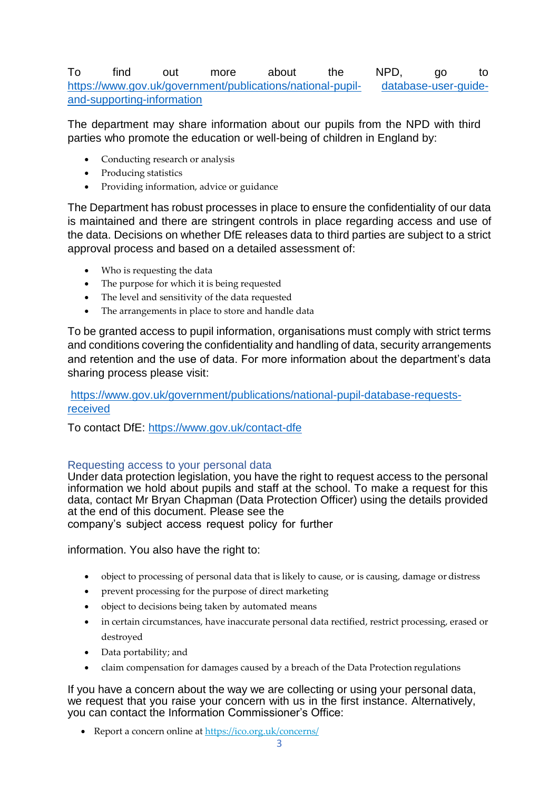## To find out more about the NPD, go to [https://www.gov.uk/government/publications/national-pupil-](https://www.gov.uk/government/publications/national-pupil-database-user-guide-and-supporting-information) [database-user-guide](https://www.gov.uk/government/publications/national-pupil-database-user-guide-and-supporting-information)[and-supporting-information](https://www.gov.uk/government/publications/national-pupil-database-user-guide-and-supporting-information)

The department may share information about our pupils from the NPD with third parties who promote the education or well-being of children in England by:

- Conducting research or analysis
- Producing statistics
- Providing information, advice or guidance

The Department has robust processes in place to ensure the confidentiality of our data is maintained and there are stringent controls in place regarding access and use of the data. Decisions on whether DfE releases data to third parties are subject to a strict approval process and based on a detailed assessment of:

- Who is requesting the data
- The purpose for which it is being requested
- The level and sensitivity of the data requested
- The arrangements in place to store and handle data

To be granted access to pupil information, organisations must comply with strict terms and conditions covering the confidentiality and handling of data, security arrangements and retention and the use of data. For more information about the department's data sharing process please visit:

## [https://www.gov.uk/government/publications/national-pupil-database-requests](https://www.gov.uk/government/publications/national-pupil-database-requests-received)[received](https://www.gov.uk/government/publications/national-pupil-database-requests-received)

To contact DfE:<https://www.gov.uk/contact-dfe>

#### Requesting access to your personal data

Under data protection legislation, you have the right to request access to the personal information we hold about pupils and staff at the school. To make a request for this data, contact Mr Bryan Chapman (Data Protection Officer) using the details provided at the end of this document. Please see the company's subject access request policy for further

information. You also have the right to:

- object to processing of personal data that is likely to cause, or is causing, damage or distress
- prevent processing for the purpose of direct marketing
- object to decisions being taken by automated means
- in certain circumstances, have inaccurate personal data rectified, restrict processing, erased or destroyed
- Data portability; and
- claim compensation for damages caused by a breach of the Data Protection regulations

If you have a concern about the way we are collecting or using your personal data, we request that you raise your concern with us in the first instance. Alternatively, you can contact the Information Commissioner's Office:

• Report a concern online at <https://ico.org.uk/concerns/>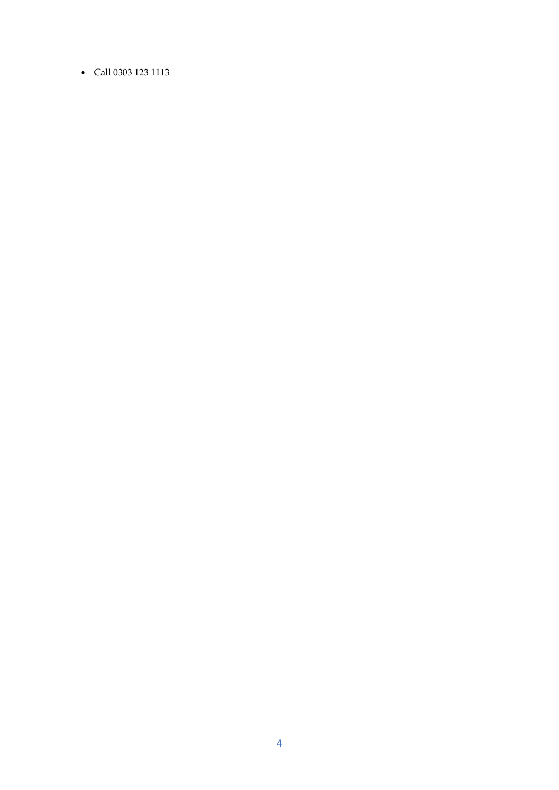• Call 0303 123 1113